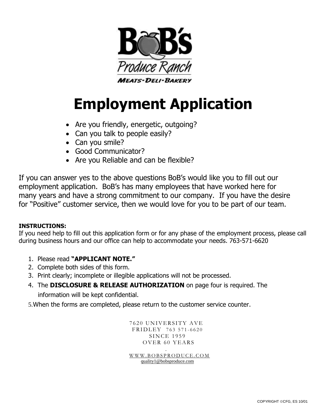

# **Employment Application**

- Are you friendly, energetic, outgoing?
- Can you talk to people easily?
- Can you smile?
- Good Communicator?
- Are you Reliable and can be flexible?

If you can answer yes to the above questions BoB's would like you to fill out our employment application. BoB's has many employees that have worked here for many years and have a strong commitment to our company. If you have the desire for "Positive" customer service, then we would love for you to be part of our team.

# **INSTRUCTIONS:**

If you need help to fill out this application form or for any phase of the employment process, please call during business hours and our office can help to accommodate your needs. 763-571-6620

- 1. Please read **"APPLICANT NOTE."**
- 2. Complete both sides of this form.
- 3. Print clearly; incomplete or illegible applications will not be processed.
- 4. The **DISCLOSURE & RELEASE AUTHORIZATION** on page four is required. The

information will be kept confidential.

5.When the forms are completed, please return to the customer service counter.

7620 UNIVERSITY AVE FRIDLEY 763 571-6620 **SINCE 1959** OVER 60 YEARS

. [W W W . B O B S P R O D U C E . C O M](http://www.bobsproduce.com/)  [quality1@bobsproduce.com](mailto:quality@bobsproduce.com)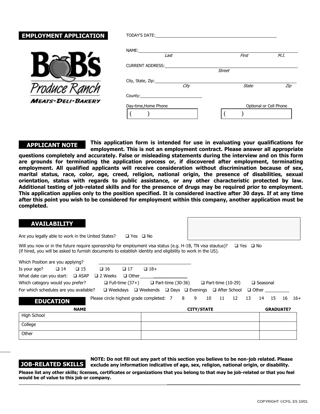# **EMPLOYMENT APPLICATION**



| TODAY'S DATE: THE STATE OF THE STATE OF THE STATE OF THE STATE OF THE STATE OF THE STATE OF THE STATE OF THE STATE OF THE STATE OF THE STATE OF THE STATE OF THE STATE OF THE STATE OF THE STATE OF THE STATE OF THE STATE OF |               |              |                        |
|-------------------------------------------------------------------------------------------------------------------------------------------------------------------------------------------------------------------------------|---------------|--------------|------------------------|
| NAME:<br>Last                                                                                                                                                                                                                 |               | First        | M.I.                   |
| CURRENT ADDRESS: NORTH AND THE STATE OF THE STATE OF THE STATE OF THE STATE OF THE STATE OF THE STATE OF THE STATE OF THE STATE OF THE STATE OF THE STATE OF THE STATE OF THE STATE OF THE STATE OF THE STATE OF THE STATE OF | <b>Street</b> |              |                        |
| City, State, Zip:<br>City                                                                                                                                                                                                     |               | <b>State</b> | Zip                    |
|                                                                                                                                                                                                                               |               |              |                        |
| Day-time, Home Phone                                                                                                                                                                                                          |               |              | Optional or Cell Phone |

## **APPLICANT NOTE**

**This application form is intended for use in evaluating your qualifications for employment. This is not an employment contract. Please answer all appropriate** 

**questions completely and accurately. False or misleading statements during the interview and on this form are grounds for terminating the application process or, if discovered after employment, terminating employment. All qualified applicants will receive consideration without discrimination because of sex, marital status, race, color, age, creed, religion, national origin, the presence of disabilities, sexual orientation, status with regards to public assistance, or any other characteristic protected by law. Additional testing of job-related skills and for the presence of drugs may be required prior to employment. This application applies only to the position specified. It is considered inactive after 30 days. If at any time after this point you wish to be considered for employment within this company, another application must be completed.**

#### **AVAILABILITY**

Are you legally able to work in the United States?  $\Box$  Yes  $\Box$  No

Will you now or in the future require sponsorship for employment visa status (e.g. H-1B, TN visa stautus)?  $\Box$  Yes  $\Box$  No (if hired, you will be asked to furnish documents to establish identity and eligibility to work in the US).

| Which Position are you applying?                           |                  |              |                                              |              |                                                                                 |  |                          |    |    |                 |              |                  |    |       |
|------------------------------------------------------------|------------------|--------------|----------------------------------------------|--------------|---------------------------------------------------------------------------------|--|--------------------------|----|----|-----------------|--------------|------------------|----|-------|
| Is your age?                                               | $\Box$ 14        | $\square$ 15 | $\square$ 16                                 | $\Box$ 17    | $\Box$ 18+                                                                      |  |                          |    |    |                 |              |                  |    |       |
| What date can you start: $\Box$ ASAP                       |                  |              | $\square$ 2 Weeks                            | $\Box$ Other |                                                                                 |  |                          |    |    |                 |              |                  |    |       |
| Which category would you prefer?<br>$\Box$ Full-time (37+) |                  |              |                                              |              | $\Box$ Part-time (30-36)                                                        |  | $\Box$ Part-time (10-29) |    |    | $\Box$ Seasonal |              |                  |    |       |
| For which schedules are you available?                     |                  |              |                                              |              | $\Box$ Weekdays $\Box$ Weekends $\Box$ Days $\Box$ Evenings $\Box$ After School |  |                          |    |    |                 | $\Box$ Other |                  |    |       |
|                                                            | <b>EDUCATION</b> |              | Please circle highest grade completed: 7 8 9 |              |                                                                                 |  | 10                       | 11 | 12 | -13             | 14           | 15               | 16 | $16+$ |
|                                                            |                  | <b>NAME</b>  |                                              |              |                                                                                 |  | <b>CITY/STATE</b>        |    |    |                 |              | <b>GRADUATE?</b> |    |       |
| High School                                                |                  |              |                                              |              |                                                                                 |  |                          |    |    |                 |              |                  |    |       |
| College                                                    |                  |              |                                              |              |                                                                                 |  |                          |    |    |                 |              |                  |    |       |
| Other                                                      |                  |              |                                              |              |                                                                                 |  |                          |    |    |                 |              |                  |    |       |

# **JOB-RELATED SKILLS**

**NOTE: Do not fill out any part of this section you believe to be non-job related. Please exclude any information indicative of age, sex, religion, national origin, or disability.**

**Please list any other skills; licenses, certificates or organizations that you belong to that may be job-related or that you feel would be of value to this job or company. \_\_\_\_\_\_\_\_\_\_** \_\_\_\_\_\_\_\_\_\_\_\_\_\_\_\_\_\_\_\_\_\_\_\_\_\_\_\_\_\_\_\_\_\_\_\_\_\_\_\_\_\_\_\_\_\_\_\_\_\_\_\_\_\_\_\_\_\_\_\_